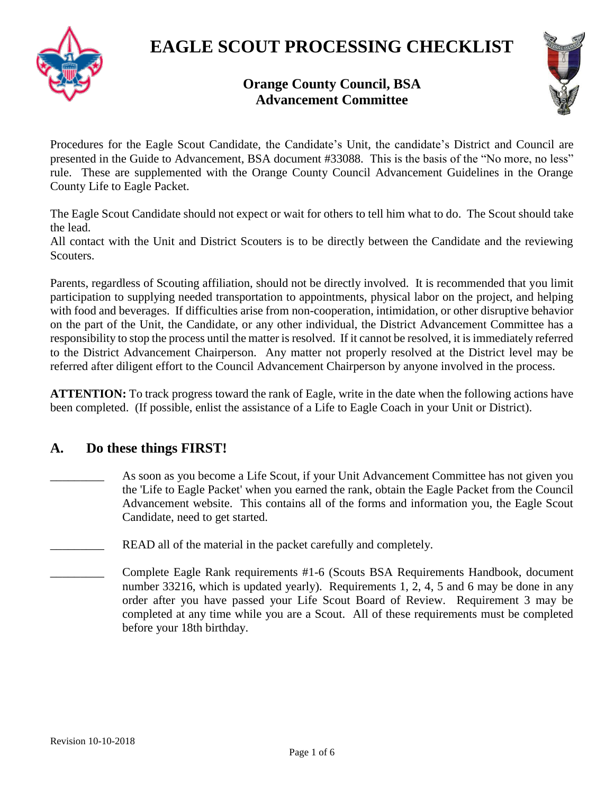



### **Orange County Council, BSA Advancement Committee**

Procedures for the Eagle Scout Candidate, the Candidate's Unit, the candidate's District and Council are presented in the Guide to Advancement, BSA document #33088. This is the basis of the "No more, no less" rule. These are supplemented with the Orange County Council Advancement Guidelines in the Orange County Life to Eagle Packet.

The Eagle Scout Candidate should not expect or wait for others to tell him what to do. The Scout should take the lead.

All contact with the Unit and District Scouters is to be directly between the Candidate and the reviewing Scouters.

Parents, regardless of Scouting affiliation, should not be directly involved. It is recommended that you limit participation to supplying needed transportation to appointments, physical labor on the project, and helping with food and beverages. If difficulties arise from non-cooperation, intimidation, or other disruptive behavior on the part of the Unit, the Candidate, or any other individual, the District Advancement Committee has a responsibility to stop the process until the matter is resolved. If it cannot be resolved, it is immediately referred to the District Advancement Chairperson. Any matter not properly resolved at the District level may be referred after diligent effort to the Council Advancement Chairperson by anyone involved in the process.

**ATTENTION:** To track progress toward the rank of Eagle, write in the date when the following actions have been completed. (If possible, enlist the assistance of a Life to Eagle Coach in your Unit or District).

#### **A. Do these things FIRST!**

- As soon as you become a Life Scout, if your Unit Advancement Committee has not given you the 'Life to Eagle Packet' when you earned the rank, obtain the Eagle Packet from the Council Advancement website. This contains all of the forms and information you, the Eagle Scout Candidate, need to get started.
- READ all of the material in the packet carefully and completely.
- \_\_\_\_\_\_\_\_\_ Complete Eagle Rank requirements #1-6 (Scouts BSA Requirements Handbook, document number 33216, which is updated yearly). Requirements 1, 2, 4, 5 and 6 may be done in any order after you have passed your Life Scout Board of Review. Requirement 3 may be completed at any time while you are a Scout. All of these requirements must be completed before your 18th birthday.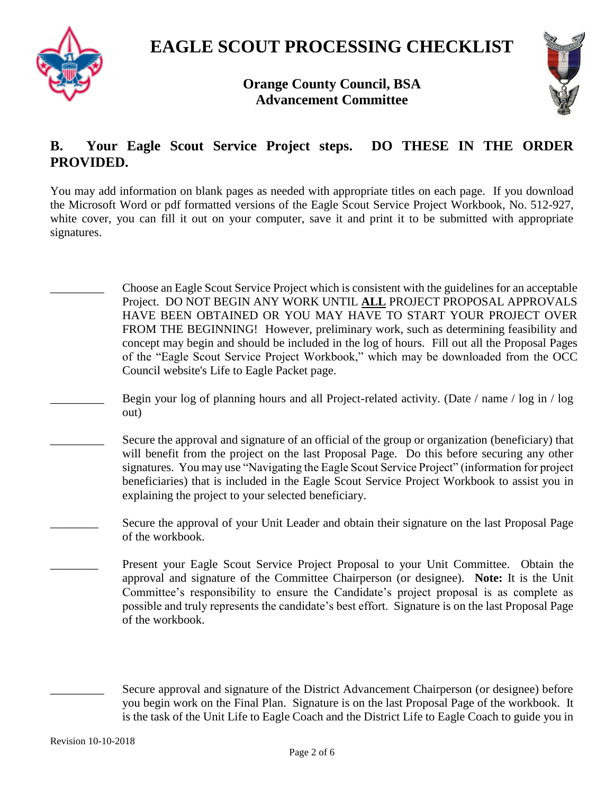



**Orange County Council, BSA Advancement Committee**

### **B. Your Eagle Scout Service Project steps. DO THESE IN THE ORDER PROVIDED.**

You may add information on blank pages as needed with appropriate titles on each page. If you download the Microsoft Word or pdf formatted versions of the Eagle Scout Service Project Workbook, No. 512-927, white cover, you can fill it out on your computer, save it and print it to be submitted with appropriate signatures.

- \_\_\_\_\_\_\_\_\_ Choose an Eagle Scout Service Project which is consistent with the guidelines for an acceptable Project. DO NOT BEGIN ANY WORK UNTIL **ALL** PROJECT PROPOSAL APPROVALS HAVE BEEN OBTAINED OR YOU MAY HAVE TO START YOUR PROJECT OVER FROM THE BEGINNING! However, preliminary work, such as determining feasibility and concept may begin and should be included in the log of hours. Fill out all the Proposal Pages of the "Eagle Scout Service Project Workbook," which may be downloaded from the OCC Council website's Life to Eagle Packet page. Begin your log of planning hours and all Project-related activity. (Date / name / log in / log out) Secure the approval and signature of an official of the group or organization (beneficiary) that will benefit from the project on the last Proposal Page. Do this before securing any other signatures. You may use "Navigating the Eagle Scout Service Project" (information for project beneficiaries) that is included in the Eagle Scout Service Project Workbook to assist you in explaining the project to your selected beneficiary. Secure the approval of your Unit Leader and obtain their signature on the last Proposal Page of the workbook.
	- Present your Eagle Scout Service Project Proposal to your Unit Committee. Obtain the approval and signature of the Committee Chairperson (or designee). **Note:** It is the Unit Committee's responsibility to ensure the Candidate's project proposal is as complete as possible and truly represents the candidate's best effort. Signature is on the last Proposal Page of the workbook.

Secure approval and signature of the District Advancement Chairperson (or designee) before you begin work on the Final Plan. Signature is on the last Proposal Page of the workbook. It is the task of the Unit Life to Eagle Coach and the District Life to Eagle Coach to guide you in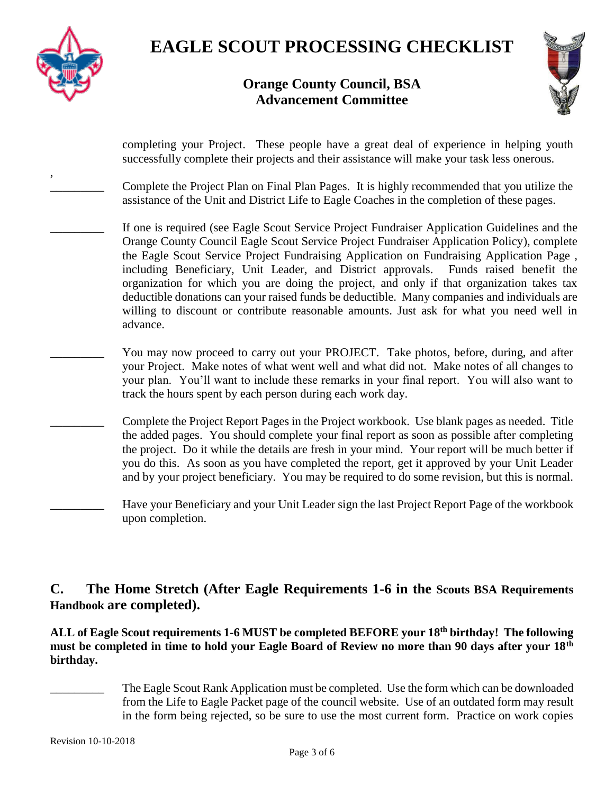

# **EAGLE SCOUT PROCESSING CHECKLIST**

### **Orange County Council, BSA Advancement Committee**



| completing your Project. These people have a great deal of experience in helping youth<br>successfully complete their projects and their assistance will make your task less onerous.                                                                                                                                                                                                                                                                                                                                                                                                                                                                                                |
|--------------------------------------------------------------------------------------------------------------------------------------------------------------------------------------------------------------------------------------------------------------------------------------------------------------------------------------------------------------------------------------------------------------------------------------------------------------------------------------------------------------------------------------------------------------------------------------------------------------------------------------------------------------------------------------|
| Complete the Project Plan on Final Plan Pages. It is highly recommended that you utilize the<br>assistance of the Unit and District Life to Eagle Coaches in the completion of these pages.                                                                                                                                                                                                                                                                                                                                                                                                                                                                                          |
| If one is required (see Eagle Scout Service Project Fundraiser Application Guidelines and the<br>Orange County Council Eagle Scout Service Project Fundraiser Application Policy), complete<br>the Eagle Scout Service Project Fundraising Application on Fundraising Application Page,<br>including Beneficiary, Unit Leader, and District approvals. Funds raised benefit the<br>organization for which you are doing the project, and only if that organization takes tax<br>deductible donations can your raised funds be deductible. Many companies and individuals are<br>willing to discount or contribute reasonable amounts. Just ask for what you need well in<br>advance. |
| You may now proceed to carry out your PROJECT. Take photos, before, during, and after<br>your Project. Make notes of what went well and what did not. Make notes of all changes to<br>your plan. You'll want to include these remarks in your final report. You will also want to<br>track the hours spent by each person during each work day.                                                                                                                                                                                                                                                                                                                                      |
| Complete the Project Report Pages in the Project workbook. Use blank pages as needed. Title<br>the added pages. You should complete your final report as soon as possible after completing<br>the project. Do it while the details are fresh in your mind. Your report will be much better if<br>you do this. As soon as you have completed the report, get it approved by your Unit Leader<br>and by your project beneficiary. You may be required to do some revision, but this is normal.                                                                                                                                                                                         |
| Have your Beneficiary and your Unit Leader sign the last Project Report Page of the workbook<br>upon completion.                                                                                                                                                                                                                                                                                                                                                                                                                                                                                                                                                                     |

### **C. The Home Stretch (After Eagle Requirements 1-6 in the Scouts BSA Requirements Handbook are completed).**

**ALL of Eagle Scout requirements 1-6 MUST be completed BEFORE your 18th birthday! The following must be completed in time to hold your Eagle Board of Review no more than 90 days after your 18th birthday.**

The Eagle Scout Rank Application must be completed. Use the form which can be downloaded from the Life to Eagle Packet page of the council website. Use of an outdated form may result in the form being rejected, so be sure to use the most current form. Practice on work copies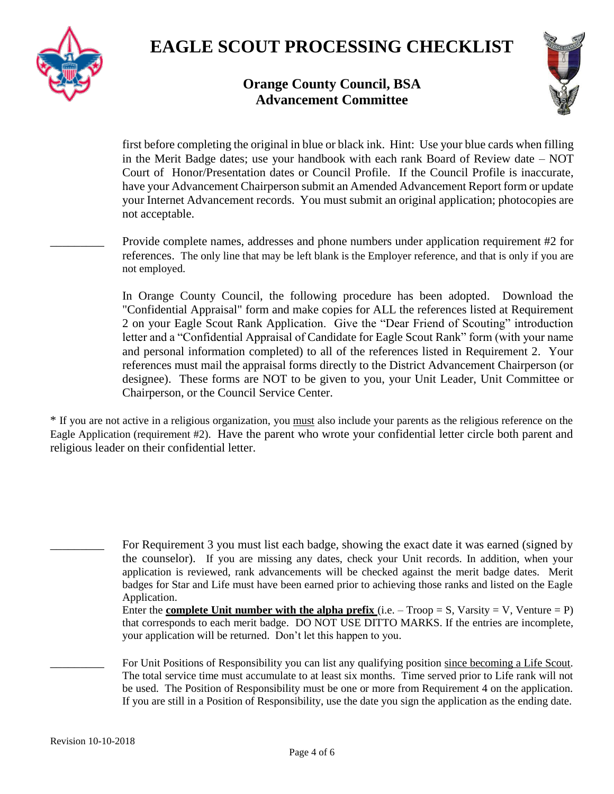



### **Orange County Council, BSA Advancement Committee**

first before completing the original in blue or black ink. Hint: Use your blue cards when filling in the Merit Badge dates; use your handbook with each rank Board of Review date – NOT Court of Honor/Presentation dates or Council Profile. If the Council Profile is inaccurate, have your Advancement Chairperson submit an Amended Advancement Report form or update your Internet Advancement records. You must submit an original application; photocopies are not acceptable.

Provide complete names, addresses and phone numbers under application requirement #2 for references. The only line that may be left blank is the Employer reference, and that is only if you are not employed.

In Orange County Council, the following procedure has been adopted. Download the "Confidential Appraisal" form and make copies for ALL the references listed at Requirement 2 on your Eagle Scout Rank Application. Give the "Dear Friend of Scouting" introduction letter and a "Confidential Appraisal of Candidate for Eagle Scout Rank" form (with your name and personal information completed) to all of the references listed in Requirement 2. Your references must mail the appraisal forms directly to the District Advancement Chairperson (or designee). These forms are NOT to be given to you, your Unit Leader, Unit Committee or Chairperson, or the Council Service Center.

\* If you are not active in a religious organization, you must also include your parents as the religious reference on the Eagle Application (requirement #2). Have the parent who wrote your confidential letter circle both parent and religious leader on their confidential letter.

For Requirement 3 you must list each badge, showing the exact date it was earned (signed by the counselor). If you are missing any dates, check your Unit records. In addition, when your application is reviewed, rank advancements will be checked against the merit badge dates. Merit badges for Star and Life must have been earned prior to achieving those ranks and listed on the Eagle Application. Enter the **complete Unit number with the alpha prefix** (i.e.  $-$  Troop  $=$  S, Varsity  $=$  V, Venture  $=$  P)

that corresponds to each merit badge. DO NOT USE DITTO MARKS. If the entries are incomplete, your application will be returned. Don't let this happen to you.

For Unit Positions of Responsibility you can list any qualifying position since becoming a Life Scout. The total service time must accumulate to at least six months. Time served prior to Life rank will not be used. The Position of Responsibility must be one or more from Requirement 4 on the application. If you are still in a Position of Responsibility, use the date you sign the application as the ending date.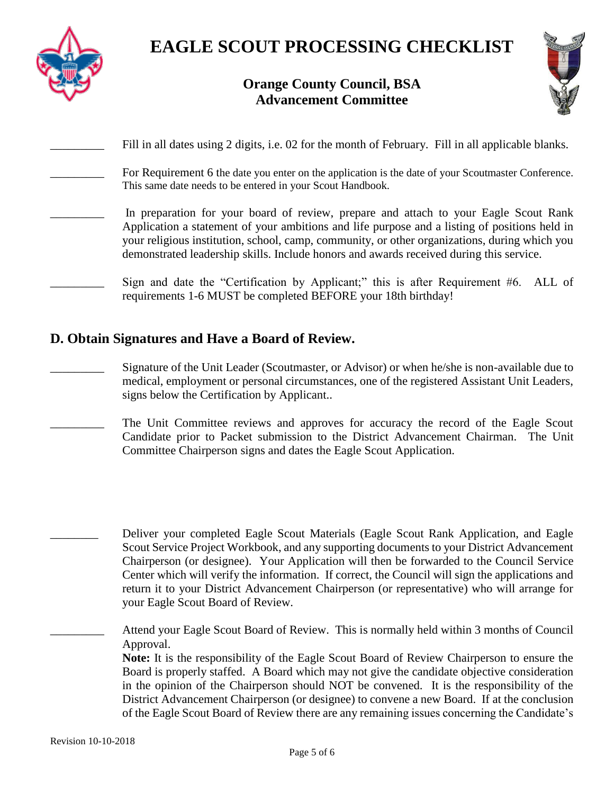

### **Orange County Council, BSA Advancement Committee**



| Fill in all dates using 2 digits, i.e. 02 for the month of February. Fill in all applicable blanks.                                                                                                                                                                                                                                                                               |
|-----------------------------------------------------------------------------------------------------------------------------------------------------------------------------------------------------------------------------------------------------------------------------------------------------------------------------------------------------------------------------------|
| For Requirement 6 the date you enter on the application is the date of your Scoutmaster Conference.<br>This same date needs to be entered in your Scout Handbook.                                                                                                                                                                                                                 |
| In preparation for your board of review, prepare and attach to your Eagle Scout Rank<br>Application a statement of your ambitions and life purpose and a listing of positions held in<br>your religious institution, school, camp, community, or other organizations, during which you<br>demonstrated leadership skills. Include honors and awards received during this service. |
| Sign and date the "Certification by Applicant;" this is after Requirement #6. ALL of<br>requirements 1-6 MUST be completed BEFORE your 18th birthday!                                                                                                                                                                                                                             |

#### **D. Obtain Signatures and Have a Board of Review.**

- \_\_\_\_\_\_\_\_\_ Signature of the Unit Leader (Scoutmaster, or Advisor) or when he/she is non-available due to medical, employment or personal circumstances, one of the registered Assistant Unit Leaders, signs below the Certification by Applicant..
	- \_\_\_\_\_\_\_\_\_ The Unit Committee reviews and approves for accuracy the record of the Eagle Scout Candidate prior to Packet submission to the District Advancement Chairman. The Unit Committee Chairperson signs and dates the Eagle Scout Application.

Deliver your completed Eagle Scout Materials (Eagle Scout Rank Application, and Eagle Scout Service Project Workbook, and any supporting documents to your District Advancement Chairperson (or designee). Your Application will then be forwarded to the Council Service Center which will verify the information. If correct, the Council will sign the applications and return it to your District Advancement Chairperson (or representative) who will arrange for your Eagle Scout Board of Review.

Attend your Eagle Scout Board of Review. This is normally held within 3 months of Council Approval.

**Note:** It is the responsibility of the Eagle Scout Board of Review Chairperson to ensure the Board is properly staffed. A Board which may not give the candidate objective consideration in the opinion of the Chairperson should NOT be convened. It is the responsibility of the District Advancement Chairperson (or designee) to convene a new Board. If at the conclusion of the Eagle Scout Board of Review there are any remaining issues concerning the Candidate's